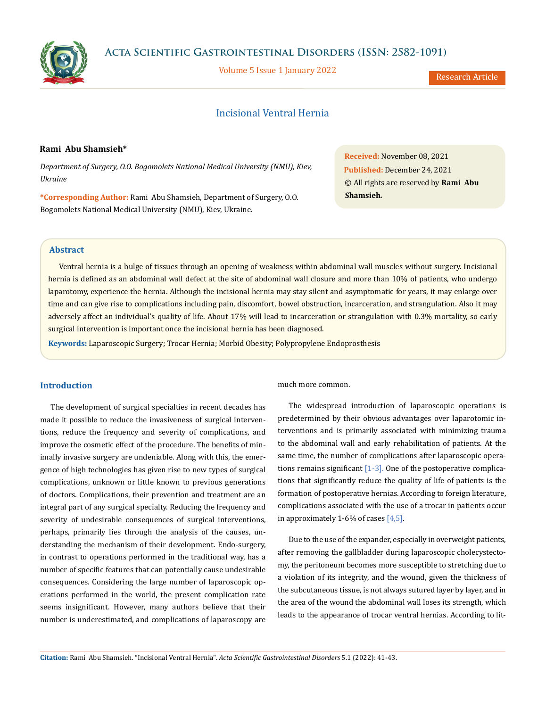

Volume 5 Issue 1 January 2022

Research Article

# Incisional Ventral Hernia

## **Rami Abu Shamsieh\***

*Department of Surgery, O.O. Bogomolets National Medical University (NMU), Kiev, Ukraine*

**\*Corresponding Author:** Rami Abu Shamsieh, Department of Surgery, O.O. Bogomolets National Medical University (NMU), Kiev, Ukraine.

**Received:** November 08, 2021 **Published:** December 24, 2021 © All rights are reserved by **Rami Abu Shamsieh***.*

### **Abstract**

Ventral hernia is a bulge of tissues through an opening of weakness within abdominal wall muscles without surgery. Incisional hernia is defined as an abdominal wall defect at the site of abdominal wall closure and more than 10% of patients, who undergo laparotomy, experience the hernia. Although the incisional hernia may stay silent and asymptomatic for years, it may enlarge over time and can give rise to complications including pain, discomfort, bowel obstruction, incarceration, and strangulation. Also it may adversely affect an individual's quality of life. About 17% will lead to incarceration or strangulation with 0.3% mortality, so early surgical intervention is important once the incisional hernia has been diagnosed.

**Keywords:** Laparoscopic Surgery; Trocar Hernia; Morbid Obesity; Polypropylene Endoprosthesis

## **Introduction**

The development of surgical specialties in recent decades has made it possible to reduce the invasiveness of surgical interventions, reduce the frequency and severity of complications, and improve the cosmetic effect of the procedure. The benefits of minimally invasive surgery are undeniable. Along with this, the emergence of high technologies has given rise to new types of surgical complications, unknown or little known to previous generations of doctors. Complications, their prevention and treatment are an integral part of any surgical specialty. Reducing the frequency and severity of undesirable consequences of surgical interventions, perhaps, primarily lies through the analysis of the causes, understanding the mechanism of their development. Endo-surgery, in contrast to operations performed in the traditional way, has a number of specific features that can potentially cause undesirable consequences. Considering the large number of laparoscopic operations performed in the world, the present complication rate seems insignificant. However, many authors believe that their number is underestimated, and complications of laparoscopy are

much more common.

The widespread introduction of laparoscopic operations is predetermined by their obvious advantages over laparotomic interventions and is primarily associated with minimizing trauma to the abdominal wall and early rehabilitation of patients. At the same time, the number of complications after laparoscopic operations remains significant  $[1-3]$ . One of the postoperative complications that significantly reduce the quality of life of patients is the formation of postoperative hernias. According to foreign literature, complications associated with the use of a trocar in patients occur in approximately 1-6% of cases  $[4,5]$ .

Due to the use of the expander, especially in overweight patients, after removing the gallbladder during laparoscopic cholecystectomy, the peritoneum becomes more susceptible to stretching due to a violation of its integrity, and the wound, given the thickness of the subcutaneous tissue, is not always sutured layer by layer, and in the area of the wound the abdominal wall loses its strength, which leads to the appearance of trocar ventral hernias. According to lit-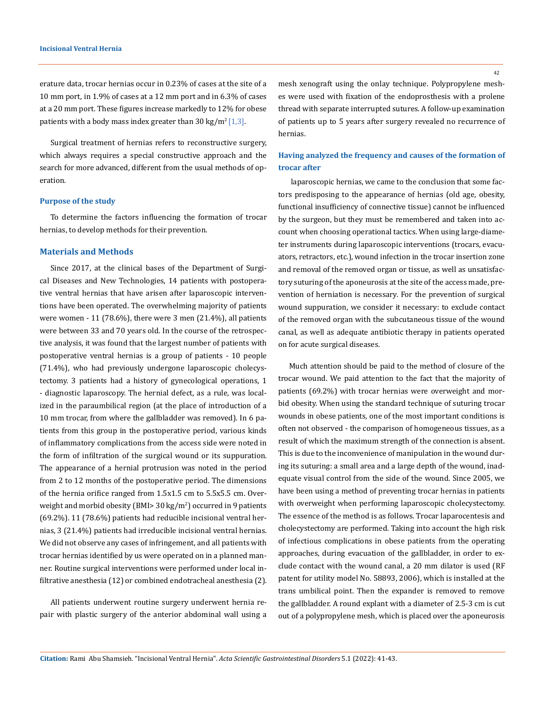erature data, trocar hernias occur in 0.23% of cases at the site of a 10 mm port, in 1.9% of cases at a 12 mm port and in 6.3% of cases at a 20 mm port. These figures increase markedly to 12% for obese patients with a body mass index greater than 30 kg/m<sup>2</sup>[1,3].

Surgical treatment of hernias refers to reconstructive surgery, which always requires a special constructive approach and the search for more advanced, different from the usual methods of operation.

#### **Purpose of the study**

To determine the factors influencing the formation of trocar hernias, to develop methods for their prevention.

#### **Materials and Methods**

Since 2017, at the clinical bases of the Department of Surgical Diseases and New Technologies, 14 patients with postoperative ventral hernias that have arisen after laparoscopic interventions have been operated. The overwhelming majority of patients were women - 11 (78.6%), there were 3 men (21.4%), all patients were between 33 and 70 years old. In the course of the retrospective analysis, it was found that the largest number of patients with postoperative ventral hernias is a group of patients - 10 people (71.4%), who had previously undergone laparoscopic cholecystectomy. 3 patients had a history of gynecological operations, 1 - diagnostic laparoscopy. The hernial defect, as a rule, was localized in the paraumbilical region (at the place of introduction of a 10 mm trocar, from where the gallbladder was removed). In 6 patients from this group in the postoperative period, various kinds of inflammatory complications from the access side were noted in the form of infiltration of the surgical wound or its suppuration. The appearance of a hernial protrusion was noted in the period from 2 to 12 months of the postoperative period. The dimensions of the hernia orifice ranged from 1.5x1.5 cm to 5.5x5.5 cm. Overweight and morbid obesity (BMI> 30 kg/m²) occurred in 9 patients (69.2%). 11 (78.6%) patients had reducible incisional ventral hernias, 3 (21.4%) patients had irreducible incisional ventral hernias. We did not observe any cases of infringement, and all patients with trocar hernias identified by us were operated on in a planned manner. Routine surgical interventions were performed under local infiltrative anesthesia (12) or combined endotracheal anesthesia (2).

All patients underwent routine surgery underwent hernia repair with plastic surgery of the anterior abdominal wall using a mesh xenograft using the onlay technique. Polypropylene meshes were used with fixation of the endoprosthesis with a prolene thread with separate interrupted sutures. A follow-up examination of patients up to 5 years after surgery revealed no recurrence of hernias.

# **Having analyzed the frequency and causes of the formation of trocar after**

laparoscopic hernias, we came to the conclusion that some factors predisposing to the appearance of hernias (old age, obesity, functional insufficiency of connective tissue) cannot be influenced by the surgeon, but they must be remembered and taken into account when choosing operational tactics. When using large-diameter instruments during laparoscopic interventions (trocars, evacuators, retractors, etc.), wound infection in the trocar insertion zone and removal of the removed organ or tissue, as well as unsatisfactory suturing of the aponeurosis at the site of the access made, prevention of herniation is necessary. For the prevention of surgical wound suppuration, we consider it necessary: to exclude contact of the removed organ with the subcutaneous tissue of the wound canal, as well as adequate antibiotic therapy in patients operated on for acute surgical diseases.

Much attention should be paid to the method of closure of the trocar wound. We paid attention to the fact that the majority of patients (69.2%) with trocar hernias were overweight and morbid obesity. When using the standard technique of suturing trocar wounds in obese patients, one of the most important conditions is often not observed - the comparison of homogeneous tissues, as a result of which the maximum strength of the connection is absent. This is due to the inconvenience of manipulation in the wound during its suturing: a small area and a large depth of the wound, inadequate visual control from the side of the wound. Since 2005, we have been using a method of preventing trocar hernias in patients with overweight when performing laparoscopic cholecystectomy. The essence of the method is as follows. Trocar laparocentesis and cholecystectomy are performed. Taking into account the high risk of infectious complications in obese patients from the operating approaches, during evacuation of the gallbladder, in order to exclude contact with the wound canal, a 20 mm dilator is used (RF patent for utility model No. 58893, 2006), which is installed at the trans umbilical point. Then the expander is removed to remove the gallbladder. A round explant with a diameter of 2.5-3 cm is cut out of a polypropylene mesh, which is placed over the aponeurosis

42